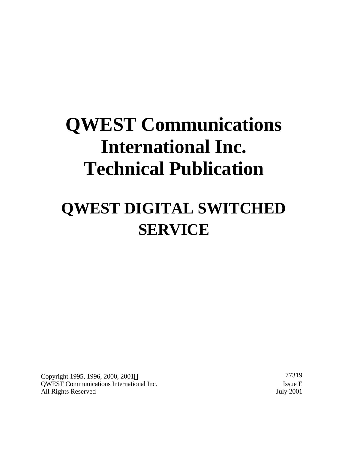# **QWEST Communications International Inc. Technical Publication**

# **QWEST DIGITAL SWITCHED SERVICE**

Copyright 1995, 1996, 2000, 2001 © 77319 QWEST Communications International Inc. Issue E All Rights Reserved July 2001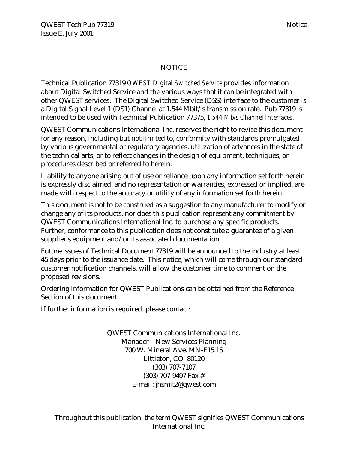#### NOTICE

Technical Publication 77319 *QWEST Digital Switched Service* provides information about Digital Switched Service and the various ways that it can be integrated with other QWEST services. The Digital Switched Service (DSS) interface to the customer is a Digital Signal Level 1 (DS1) Channel at 1.544 Mbit/s transmission rate. Pub 77319 is intended to be used with Technical Publication 77375, *1.544 Mb/s Channel Interfaces*.

QWEST Communications International Inc. reserves the right to revise this document for any reason, including but not limited to, conformity with standards promulgated by various governmental or regulatory agencies; utilization of advances in the state of the technical arts; or to reflect changes in the design of equipment, techniques, or procedures described or referred to herein.

Liability to anyone arising out of use or reliance upon any information set forth herein is expressly disclaimed, and no representation or warranties, expressed or implied, are made with respect to the accuracy or utility of any information set forth herein.

This document is not to be construed as a suggestion to any manufacturer to modify or change any of its products, nor does this publication represent any commitment by QWEST Communications International Inc. to purchase any specific products. Further, conformance to this publication does not constitute a guarantee of a given supplier's equipment and/or its associated documentation.

Future issues of Technical Document 77319 will be announced to the industry at least 45 days prior to the issuance date. This notice, which will come through our standard customer notification channels, will allow the customer time to comment on the proposed revisions.

Ordering information for QWEST Publications can be obtained from the Reference Section of this document.

If further information is required, please contact:

QWEST Communications International Inc. Manager – New Services Planning 700 W. Mineral Ave. MN-F15.15 Littleton, CO 80120 (303) 707-7107 (303) 707-9497 Fax # E-mail: jhsmit2@qwest.com

Throughout this publication, the term QWEST signifies QWEST Communications International Inc.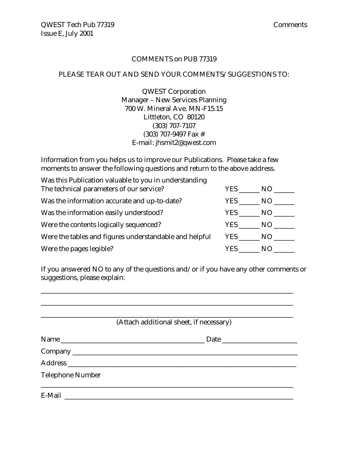#### COMMENTS on PUB 77319

#### PLEASE TEAR OUT AND SEND YOUR COMMENTS/SUGGESTIONS TO:

QWEST Corporation Manager – New Services Planning 700 W. Mineral Ave. MN-F15.15 Littleton, CO 80120 (303) 707-7107 (303) 707-9497 Fax # E-mail: jhsmit2@qwest.com

Information from you helps us to improve our Publications. Please take a few moments to answer the following questions and return to the above address.

| Was this Publication valuable to you in understanding  |        |     |
|--------------------------------------------------------|--------|-----|
| The technical parameters of our service?               | YES NO |     |
| Was the information accurate and up-to-date?           | YES .  | NO. |
| Was the information easily understood?                 | YES    | NO  |
| Were the contents logically sequenced?                 |        | NO. |
| Were the tables and figures understandable and helpful | YES NO |     |
| Were the pages legible?                                | YES.   | N() |

If you answered NO to any of the questions and/or if you have any other comments or suggestions, please explain:

\_\_\_\_\_\_\_\_\_\_\_\_\_\_\_\_\_\_\_\_\_\_\_\_\_\_\_\_\_\_\_\_\_\_\_\_\_\_\_\_\_\_\_\_\_\_\_\_\_\_\_\_\_\_\_\_\_\_\_\_\_\_\_\_\_\_\_\_\_\_\_\_\_\_

|                         | (Attach additional sheet, if necessary) |  |
|-------------------------|-----------------------------------------|--|
|                         |                                         |  |
|                         |                                         |  |
|                         |                                         |  |
| <b>Telephone Number</b> |                                         |  |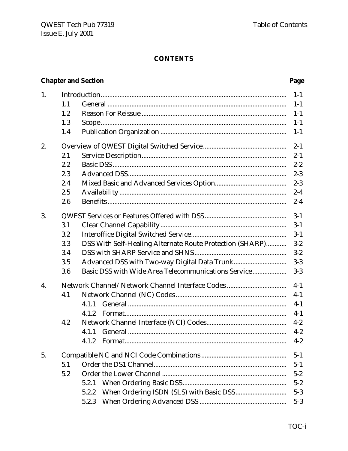# **Chapter and Section**

# Page

| 1. |       |                                                          | $1 - 1$ |  |
|----|-------|----------------------------------------------------------|---------|--|
|    | 1.1   |                                                          | $1 - 1$ |  |
|    | 1.2   |                                                          | $1 - 1$ |  |
|    | 1.3   |                                                          | $1 - 1$ |  |
|    | 1.4   |                                                          | $1 - 1$ |  |
| 2. |       |                                                          | $2 - 1$ |  |
|    | 2.1   |                                                          | $2 - 1$ |  |
|    | 2.2   |                                                          | $2 - 2$ |  |
|    | 2.3   |                                                          | $2 - 3$ |  |
|    | 2.4   |                                                          | $2 - 3$ |  |
|    | 2.5   |                                                          | $2 - 4$ |  |
|    | 2.6   |                                                          | $2 - 4$ |  |
| 3. | $3-1$ |                                                          |         |  |
|    | 3.1   |                                                          | $3-1$   |  |
|    | 3.2   |                                                          | $3 - 1$ |  |
|    | 3.3   | DSS With Self-Healing Alternate Route Protection (SHARP) | $3 - 2$ |  |
|    | 3.4   |                                                          | $3 - 2$ |  |
|    | 3.5   |                                                          | $3-3$   |  |
|    | 3.6   | Basic DSS with Wide Area Telecommunications Service      | $3-3$   |  |
| 4. |       | Network Channel/Network Channel Interface Codes          | $4-1$   |  |
|    | 4.1   |                                                          | $4-1$   |  |
|    |       | 4.1.1                                                    | $4-1$   |  |
|    |       | 4.1.2                                                    | $4-1$   |  |
|    | 4.2   |                                                          | $4 - 2$ |  |
|    |       | 4.1.1                                                    | $4 - 2$ |  |
|    |       | 4.1.2                                                    | $4 - 2$ |  |
| 5. |       |                                                          | $5 - 1$ |  |
|    | 5.1   |                                                          | $5 - 1$ |  |
|    | 5.2   |                                                          | $5 - 2$ |  |
|    |       | 5.2.1                                                    | $5 - 2$ |  |
|    |       | 5.2.2                                                    | $5 - 3$ |  |
|    |       | 5.2.3                                                    | $5 - 3$ |  |
|    |       |                                                          |         |  |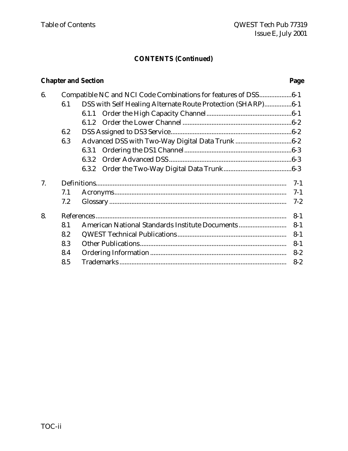# **CONTENTS (Continued)**

# **Chapter and Section Page**

| 6. |     | Compatible NC and NCI Code Combinations for features of DSS6-1 |         |
|----|-----|----------------------------------------------------------------|---------|
|    | 6.1 | DSS with Self Healing Alternate Route Protection (SHARP)6-1    |         |
|    |     |                                                                |         |
|    |     |                                                                |         |
|    | 6.2 |                                                                |         |
|    | 6.3 |                                                                |         |
|    |     |                                                                |         |
|    |     | 6.3.2                                                          |         |
|    |     |                                                                |         |
| 7. |     |                                                                | $7-1$   |
|    | 7.1 |                                                                | $7-1$   |
|    | 7.2 |                                                                | $7 - 2$ |
| 8. |     |                                                                | $8 - 1$ |
|    | 8.1 | American National Standards Institute Documents                | $8 - 1$ |
|    | 8.2 |                                                                | $8 - 1$ |
|    | 8.3 |                                                                | $8 - 1$ |
|    | 8.4 |                                                                | $8 - 2$ |
|    | 8.5 |                                                                | $8 - 2$ |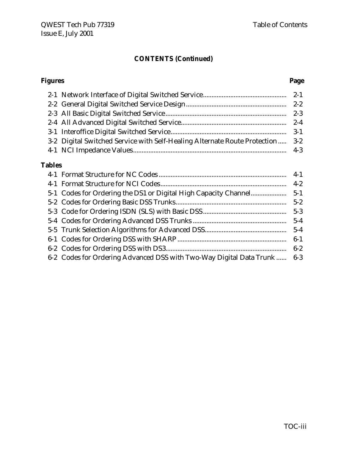# **CONTENTS (Continued)**

#### **Figures Page**

| 3-2 Digital Switched Service with Self-Healing Alternate Route Protection  3-2 |  |
|--------------------------------------------------------------------------------|--|
|                                                                                |  |
|                                                                                |  |

# **Tables**

|                                                                          | $5-2$ |
|--------------------------------------------------------------------------|-------|
|                                                                          |       |
|                                                                          |       |
|                                                                          |       |
|                                                                          |       |
|                                                                          |       |
| 6-2 Codes for Ordering Advanced DSS with Two-Way Digital Data Trunk  6-3 |       |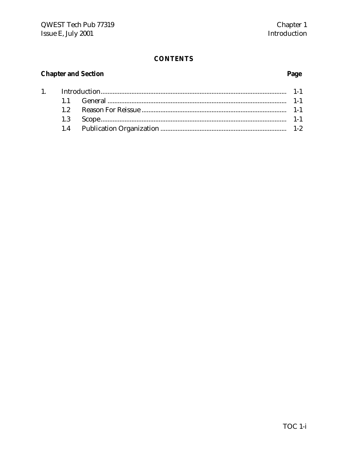# **Chapter and Section**

 $1.$ 

# Page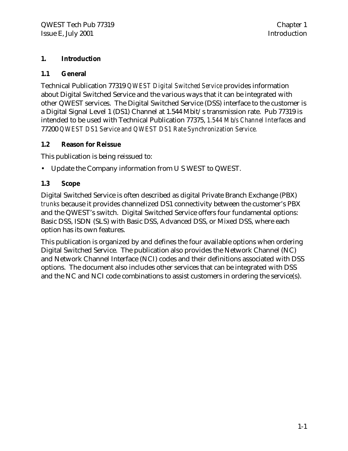#### **1. Introduction**

#### **1.1 General**

Technical Publication 77319 *QWEST Digital Switched Service* provides information about Digital Switched Service and the various ways that it can be integrated with other QWEST services. The Digital Switched Service (DSS) interface to the customer is a Digital Signal Level 1 (DS1) Channel at 1.544 Mbit/s transmission rate. Pub 77319 is intended to be used with Technical Publication 77375, *1.544 Mb/s Channel Interfaces* and 77200 *QWEST DS1 Service and QWEST DS1 Rate Synchronization Service.*

#### **1.2 Reason for Reissue**

This publication is being reissued to:

• Update the Company information from U S WEST to QWEST.

#### **1.3 Scope**

Digital Switched Service is often described as digital Private Branch Exchange (PBX) *trunks* because it provides channelized DS1 connectivity between the customer's PBX and the QWEST's switch. Digital Switched Service offers four fundamental options: Basic DSS, ISDN (SLS) with Basic DSS, Advanced DSS, or Mixed DSS, where each option has its own features.

This publication is organized by and defines the four available options when ordering Digital Switched Service. The publication also provides the Network Channel (NC) and Network Channel Interface (NCI) codes and their definitions associated with DSS options. The document also includes other services that can be integrated with DSS and the NC and NCI code combinations to assist customers in ordering the service(s).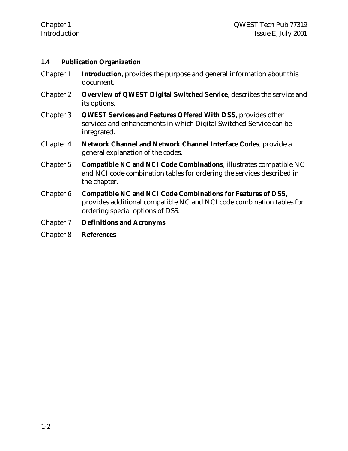#### **1.4 Publication Organization**

- Chapter 1 **Introduction**, provides the purpose and general information about this document.
- Chapter 2 **Overview of QWEST Digital Switched Service**, describes the service and its options.
- Chapter 3 **QWEST Services and Features Offered With DSS**, provides other services and enhancements in which Digital Switched Service can be integrated.
- Chapter 4 **Network Channel and Network Channel Interface Codes**, provide a general explanation of the codes.
- Chapter 5 **Compatible NC and NCI Code Combinations**, illustrates compatible NC and NCI code combination tables for ordering the services described in the chapter.
- Chapter 6 **Compatible NC and NCI Code Combinations for Features of DSS**, provides additional compatible NC and NCI code combination tables for ordering special options of DSS.
- Chapter 7 **Definitions and Acronyms**
- Chapter 8 **References**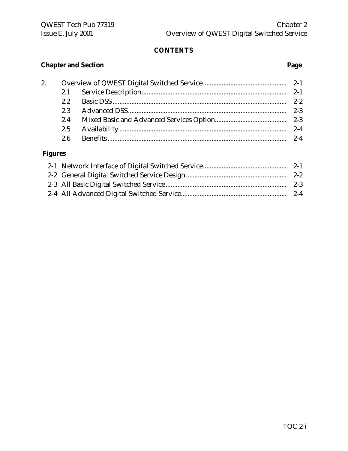# **Chapter and Section Page**

| 2. |     |         |
|----|-----|---------|
|    |     |         |
|    |     |         |
|    | 2.3 | $2 - 3$ |
|    | 2.4 |         |
|    |     | $2 - 4$ |
|    | 2.6 | $2 - 4$ |
|    |     |         |

# **Figures**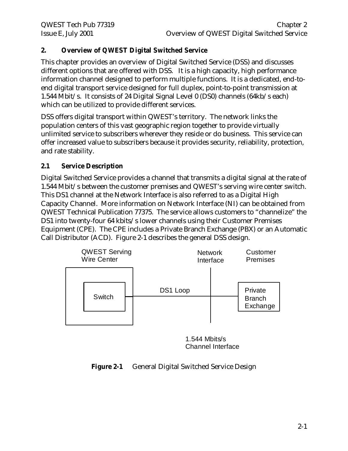# **2. Overview of QWEST Digital Switched Service**

This chapter provides an overview of Digital Switched Service (DSS) and discusses different options that are offered with DSS. It is a high capacity, high performance information channel designed to perform multiple functions. It is a dedicated, end-toend digital transport service designed for full duplex, point-to-point transmission at 1.544 Mbit/s. It consists of 24 Digital Signal Level 0 (DS0) channels (64kb/s each) which can be utilized to provide different services.

DSS offers digital transport within QWEST's territory. The network links the population centers of this vast geographic region together to provide virtually unlimited service to subscribers wherever they reside or do business. This service can offer increased value to subscribers because it provides security, reliability, protection, and rate stability.

## **2.1 Service Description**

Digital Switched Service provides a channel that transmits a digital signal at the rate of 1.544 Mbit/s between the customer premises and QWEST's serving wire center switch. This DS1 channel at the Network Interface is also referred to as a Digital High Capacity Channel. More information on Network Interface (NI) can be obtained from QWEST Technical Publication 77375. The service allows customers to "channelize" the DS1 into twenty-four 64 kbits/s lower channels using their Customer Premises Equipment (CPE). The CPE includes a Private Branch Exchange (PBX) or an Automatic Call Distributor (ACD). Figure 2-1 describes the general DSS design.



<sup>1.544</sup> Mbits/s Channel Interface

#### **Figure 2-1** General Digital Switched Service Design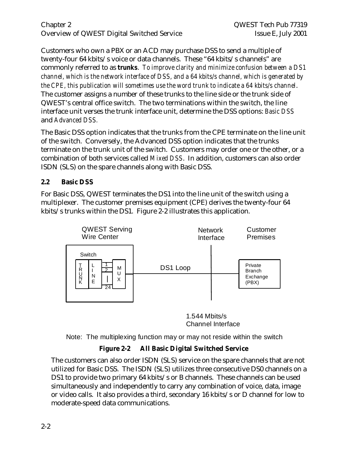Chapter 2 QWEST Tech Pub 77319 Overview of QWEST Digital Switched Service Issue E, July 2001

Customers who own a PBX or an ACD may purchase DSS to send a multiple of twenty-four 64 kbits/s voice or data channels. These "64 kbits/s channels" are commonly referred to as *trunks*. *To improve clarity and minimize confusion between a DS1 channel, which is the network interface of DSS, and a 64 kbits/s channel, which is generated by the CPE, this publication will sometimes use the word trunk to indicate a 64 kbits/s channel*. The customer assigns a number of these trunks to the line side or the trunk side of QWEST's central office switch. The two terminations within the switch, the line interface unit verses the trunk interface unit, determine the DSS options: *Basic DSS* and *Advanced DSS.*

The Basic DSS option indicates that the trunks from the CPE terminate on the line unit of the switch. Conversely, the Advanced DSS option indicates that the trunks terminate on the trunk unit of the switch. Customers may order one or the other, or a combination of both services called *Mixed DSS*. In addition, customers can also order ISDN (SLS) on the spare channels along with Basic DSS.

#### **2.2 Basic DSS**

For Basic DSS, QWEST terminates the DS1 into the line unit of the switch using a multiplexer. The customer premises equipment (CPE) derives the twenty-four 64 kbits/s trunks within the DS1. Figure 2-2 illustrates this application.



1.544 Mbits/s Channel Interface

Note: The multiplexing function may or may not reside within the switch

# **Figure 2-2 All Basic Digital Switched Service**

The customers can also order ISDN (SLS) service on the spare channels that are not utilized for Basic DSS. The ISDN (SLS) utilizes three consecutive DS0 channels on a DS1 to provide two primary 64 kbits/s or B channels. These channels can be used simultaneously and independently to carry any combination of voice, data, image or video calls. It also provides a third, secondary 16 kbits/s or D channel for low to moderate-speed data communications.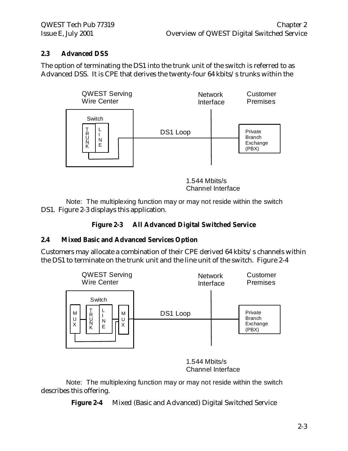#### **2.3 Advanced DSS**

The option of terminating the DS1 into the trunk unit of the switch is referred to as Advanced DSS. It is CPE that derives the twenty-four 64 kbits/s trunks within the



1.544 Mbits/s Channel Interface

DS1. Figure 2-3 displays this application. Note: The multiplexing function may or may not reside within the switch

# **Figure 2-3 All Advanced Digital Switched Service**

#### **2.4 Mixed Basic and Advanced Services Option**

Customers may allocate a combination of their CPE derived 64 kbits/s channels within the DS1 to terminate on the trunk unit and the line unit of the switch. Figure 2-4



1.544 Mbits/s Channel Interface

describes this offering. Note: The multiplexing function may or may not reside within the switch

**Figure 2-4** Mixed (Basic and Advanced) Digital Switched Service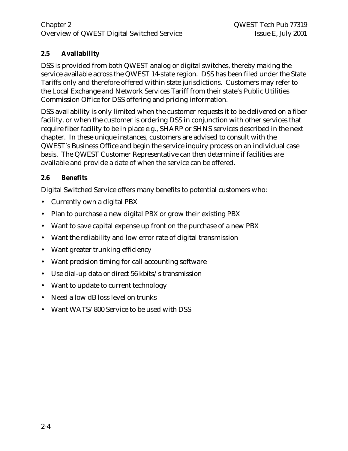#### Chapter 2 QWEST Tech Pub 77319 Overview of QWEST Digital Switched Service Issue E, July 2001

# **2.5 Availability**

DSS is provided from both QWEST analog or digital switches, thereby making the service available across the QWEST 14-state region. DSS has been filed under the State Tariffs only and therefore offered within state jurisdictions. Customers may refer to the Local Exchange and Network Services Tariff from their state's Public Utilities Commission Office for DSS offering and pricing information.

DSS availability is only limited when the customer requests it to be delivered on a fiber facility, or when the customer is ordering DSS in conjunction with other services that require fiber facility to be in place e.g., SHARP or SHNS services described in the next chapter. In these unique instances, customers are advised to consult with the QWEST's Business Office and begin the service inquiry process on an individual case basis. The QWEST Customer Representative can then determine if facilities are available and provide a date of when the service can be offered.

#### **2.6 Benefits**

Digital Switched Service offers many benefits to potential customers who:

- Currently own a digital PBX
- Plan to purchase a new digital PBX or grow their existing PBX
- Want to save capital expense up front on the purchase of a new PBX
- Want the reliability and low error rate of digital transmission
- Want greater trunking efficiency
- Want precision timing for call accounting software
- Use dial-up data or direct 56 kbits/s transmission
- Want to update to current technology
- Need a low dB loss level on trunks
- Want WATS/800 Service to be used with DSS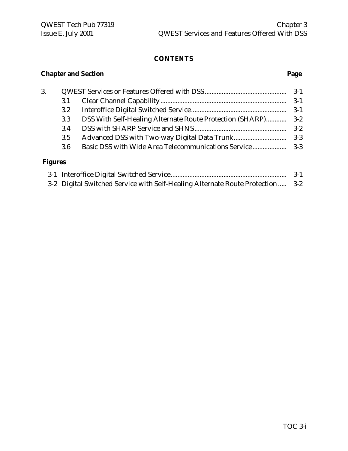# **Chapter and Section Page**

| 3.      |     |  |  |
|---------|-----|--|--|
|         | 3.1 |  |  |
|         | 3.2 |  |  |
|         | 3.3 |  |  |
|         | 3.4 |  |  |
|         | 3.5 |  |  |
|         | 3.6 |  |  |
| Fioures |     |  |  |

#### **Figures**

|                                                                                | $3-1$ |
|--------------------------------------------------------------------------------|-------|
| 3-2 Digital Switched Service with Self-Healing Alternate Route Protection  3-2 |       |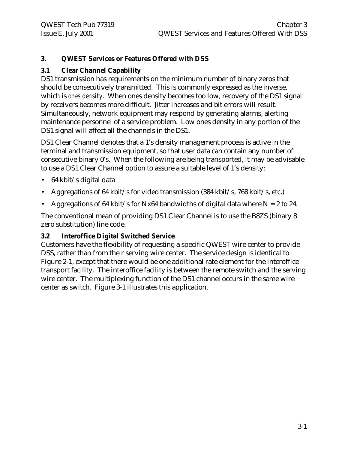### **3. QWEST Services or Features Offered with DSS**

#### **3.1 Clear Channel Capability**

DS1 transmission has requirements on the minimum number of binary zeros that should be consecutively transmitted. This is commonly expressed as the inverse, which is *ones density*. When ones density becomes too low, recovery of the DS1 signal by receivers becomes more difficult. Jitter increases and bit errors will result. Simultaneously, network equipment may respond by generating alarms, alerting maintenance personnel of a service problem. Low ones density in any portion of the DS1 signal will affect all the channels in the DS1.

DS1 Clear Channel denotes that a 1's density management process is active in the terminal and transmission equipment, so that user data can contain any number of consecutive binary 0's. When the following are being transported, it may be advisable to use a DS1 Clear Channel option to assure a suitable level of 1's density:

- 64 kbit/s digital data
- Aggregations of 64 kbit/s for video transmission (384 kbit/s, 768 kbit/s, etc.)
- Aggregations of 64 kbit/s for Nx64 bandwidths of digital data where  $N = 2$  to 24.

The conventional mean of providing DS1 Clear Channel is to use the B8ZS (binary 8 zero substitution) line code.

#### **3.2 Interoffice Digital Switched Service**

Customers have the flexibility of requesting a specific QWEST wire center to provide DSS, rather than from their serving wire center. The service design is identical to Figure 2-1, except that there would be one additional rate element for the interoffice transport facility. The interoffice facility is between the remote switch and the serving wire center. The multiplexing function of the DS1 channel occurs in the same wire center as switch. Figure 3-1 illustrates this application.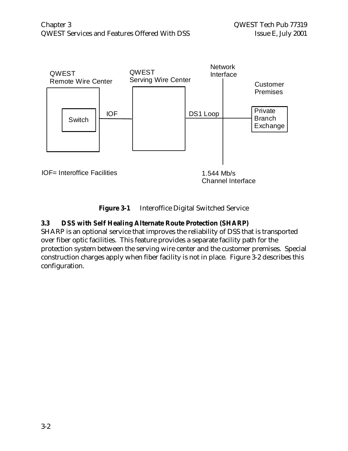

**Figure 3-1** Interoffice Digital Switched Service

#### **3.3 DSS with Self Healing Alternate Route Protection (SHARP)**

SHARP is an optional service that improves the reliability of DSS that is transported over fiber optic facilities. This feature provides a separate facility path for the protection system between the serving wire center and the customer premises. Special construction charges apply when fiber facility is not in place. Figure 3-2 describes this configuration.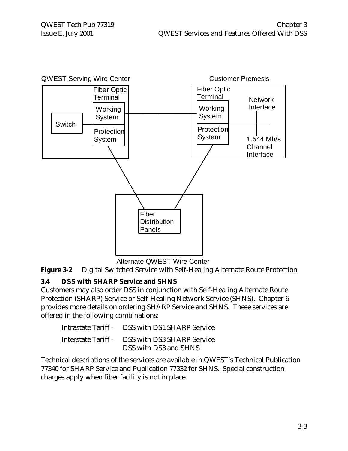

Alternate QWEST Wire Center

**Figure 3-2** Digital Switched Service with Self-Healing Alternate Route Protection

#### **3.4 DSS with SHARP Service and SHNS**

Customers may also order DSS in conjunction with Self-Healing Alternate Route Protection (SHARP) Service or Self-Healing Network Service (SHNS). Chapter 6 provides more details on ordering SHARP Service and SHNS. These services are offered in the following combinations:

| Intrastate Tariff - DSS with DS1 SHARP Service |
|------------------------------------------------|
| Interstate Tariff - DSS with DS3 SHARP Service |
| DSS with DS3 and SHNS                          |

Technical descriptions of the services are available in QWEST's Technical Publication 77340 for SHARP Service and Publication 77332 for SHNS. Special construction charges apply when fiber facility is not in place.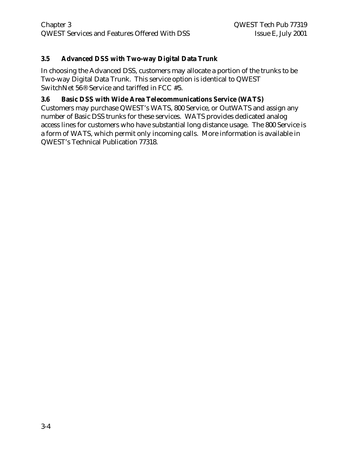#### **3.5 Advanced DSS with Two-way Digital Data Trunk**

In choosing the Advanced DSS, customers may allocate a portion of the trunks to be Two-way Digital Data Trunk. This service option is identical to QWEST SwitchNet 56® Service and tariffed in FCC #5.

#### **3.6 Basic DSS with Wide Area Telecommunications Service (WATS)**

Customers may purchase QWEST's WATS, 800 Service, or OutWATS and assign any number of Basic DSS trunks for these services. WATS provides dedicated analog access lines for customers who have substantial long distance usage. The 800 Service is a form of WATS, which permit only incoming calls. More information is available in QWEST's Technical Publication 77318.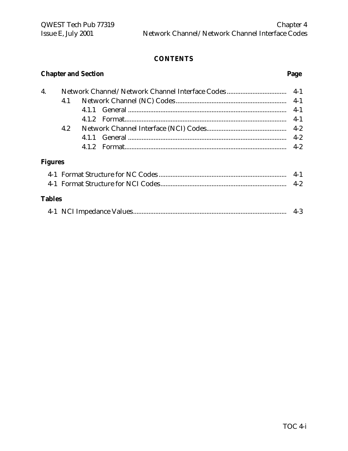# **Chapter and Section Page**

| 4.             |     |  |         |
|----------------|-----|--|---------|
|                | 4.1 |  |         |
|                |     |  | $4-1$   |
|                |     |  | $4 - 1$ |
|                | 4.2 |  |         |
|                |     |  | $4 - 2$ |
|                |     |  |         |
| <b>Figures</b> |     |  |         |
|                |     |  | $4-1$   |
|                |     |  |         |
| <b>Tables</b>  |     |  |         |

|--|--|--|--|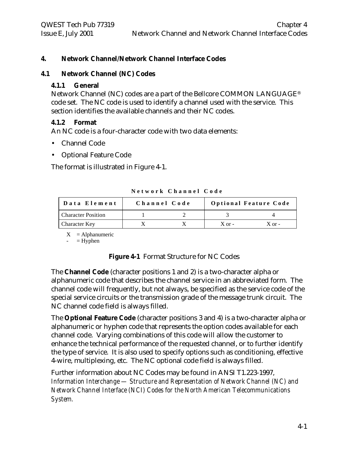#### **4. Network Channel/Network Channel Interface Codes**

#### **4.1 Network Channel (NC) Codes**

#### **4.1.1 General**

Network Channel (NC) codes are a part of the Bellcore COMMON LANGUAGE® code set. The NC code is used to identify a channel used with the service. This section identifies the available channels and their NC codes.

#### **4.1.2 Format**

An NC code is a four-character code with two data elements:

- Channel Code
- Optional Feature Code

The format is illustrated in Figure 4-1.

| Data Element              | Channel Code |            | <b>Optional Feature Code</b> |
|---------------------------|--------------|------------|------------------------------|
| <b>Character Position</b> |              |            |                              |
| <b>Character Key</b>      |              | $X$ or $-$ | $X$ or $-$                   |

**Network Channel Code**

 $X =$ Alphanumeric

 $=$  Hyphen

#### **Figure 4-1** Format Structure for NC Codes

The **Channel Code** (character positions 1 and 2) is a two-character alpha or alphanumeric code that describes the channel service in an abbreviated form. The channel code will frequently, but not always, be specified as the service code of the special service circuits or the transmission grade of the message trunk circuit. The NC channel code field is always filled.

The **Optional Feature Code** (character positions 3 and 4) is a two-character alpha or alphanumeric or hyphen code that represents the option codes available for each channel code. Varying combinations of this code will allow the customer to enhance the technical performance of the requested channel, or to further identify the type of service. It is also used to specify options such as conditioning, effective 4-wire, multiplexing, etc. The NC optional code field is always filled.

Further information about NC Codes may be found in ANSI T1.223-1997, *Information Interchange — Structure and Representation of Network Channel (NC) and Network Channel Interface (NCI) Codes for the North American Telecommunications System.*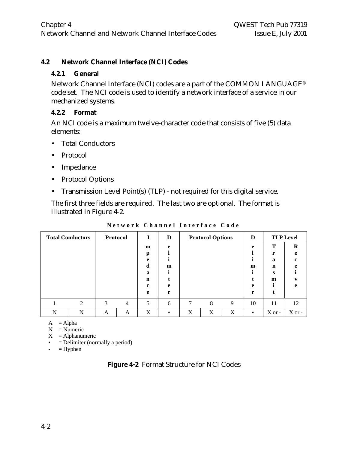#### **4.2 Network Channel Interface (NCI) Codes**

#### **4.2.1 General**

Network Channel Interface (NCI) codes are a part of the COMMON LANGUAGE® code set. The NCI code is used to identify a network interface of a service in our mechanized systems.

#### **4.2.2 Format**

An NCI code is a maximum twelve-character code that consists of five (5) data elements:

- Total Conductors
- Protocol
- Impedance
- Protocol Options
- Transmission Level Point(s) (TLP) not required for this digital service.

The first three fields are required. The last two are optional. The format is illustrated in Figure 4-2.

|   | <b>Total Conductors</b> | Protocol |                |        | D            |   | <b>Protocol Options</b> |   | D         |             | <b>TLP Level</b> |
|---|-------------------------|----------|----------------|--------|--------------|---|-------------------------|---|-----------|-------------|------------------|
|   |                         |          |                | m      | e            |   |                         |   | e         | т           | $\bf{R}$         |
|   |                         |          |                | p<br>e |              |   |                         |   |           | r<br>a      | e<br>c           |
|   |                         |          |                | d      | $\mathbf{m}$ |   |                         |   | m         | $\mathbf n$ | e                |
|   |                         |          |                | a<br>n |              |   |                         |   |           | s<br>m      |                  |
|   |                         |          |                | c      | e            |   |                         |   | e         |             | e                |
|   |                         |          |                | e      | r            |   |                         |   | r         |             |                  |
|   |                         | 3        | $\overline{4}$ | 5      | 6            | 7 | 8                       | 9 | 10        | 11          | 12               |
| N | N                       | A        | A              | X      |              | X | X                       | X | $\bullet$ | $X$ or -    | X or -           |

**Network Channel Interface Code**

 $A = Alpha$ 

 $N =$  Numeric

 $X = Alphantumeric$ 

- $\bullet$  = Delimiter (normally a period)
- $-$  = Hyphen

| Figure 4-2 Format Structure for NCI Codes |
|-------------------------------------------|
|-------------------------------------------|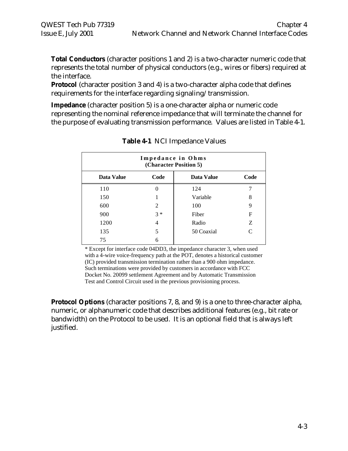**Total Conductors** (character positions 1 and 2) is a two-character numeric code that represents the total number of physical conductors (e.g., wires or fibers) required at the interface.

**Protocol** (character position 3 and 4) is a two-character alpha code that defines requirements for the interface regarding signaling/transmission.

**Impedance** (character position 5) is a one-character alpha or numeric code representing the nominal reference impedance that will terminate the channel for the purpose of evaluating transmission performance. Values are listed in Table 4-1.

| Impedance in Ohms<br>(Character Position 5) |                |                   |                             |  |  |  |
|---------------------------------------------|----------------|-------------------|-----------------------------|--|--|--|
| Data Value                                  | Code           | <b>Data Value</b> | Code                        |  |  |  |
| 110                                         | 0              | 124               |                             |  |  |  |
| 150                                         |                | Variable          | 8                           |  |  |  |
| 600                                         | $\overline{c}$ | 100               | 9                           |  |  |  |
| 900                                         | $3 *$          | Fiber             | F                           |  |  |  |
| 1200                                        | 4              | Radio             | Z                           |  |  |  |
| 135                                         | 5              | 50 Coaxial        | $\mathcal{C}_{\mathcal{C}}$ |  |  |  |
| 75                                          | 6              |                   |                             |  |  |  |

**Table 4-1** NCI Impedance Values

\* Except for interface code 04DD3, the impedance character 3, when used with a 4-wire voice-frequency path at the POT, denotes a historical customer (IC) provided transmission termination rather than a 900 ohm impedance. Such terminations were provided by customers in accordance with FCC Docket No. 20099 settlement Agreement and by Automatic Transmission Test and Control Circuit used in the previous provisioning process.

**Protocol Options** (character positions 7, 8, and 9) is a one to three-character alpha, numeric, or alphanumeric code that describes additional features (e.g., bit rate or bandwidth) on the Protocol to be used. It is an optional field that is always left justified.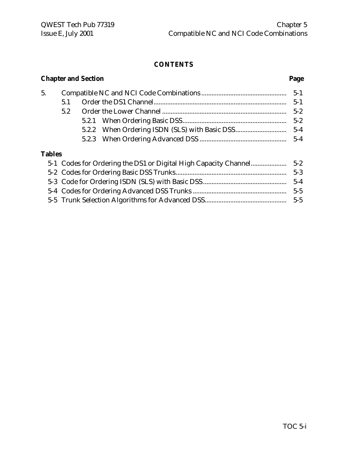# 5. Compatible NC and NCI Code Combinations .................................................. 5-1 5.1 Order the DS1 Channel.............................................................................. 5-1 5.2 Order the Lower Channel ......................................................................... 5-2 5.2.1 When Ordering Basic DSS............................................................. 5-2 5.2.2 When Ordering ISDN (SLS) with Basic DSS.............................. 5-4 5.2.3 When Ordering Advanced DSS ................................................... 5-4 **Tables**

#### **Chapter and Section............................................................................................................Page**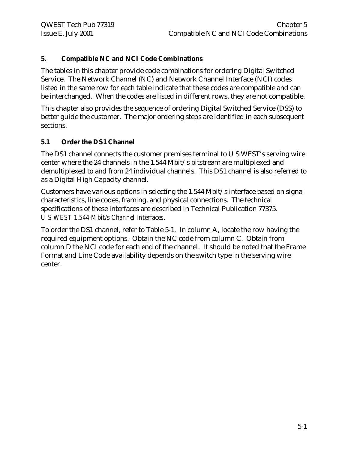#### **5. Compatible NC and NCI Code Combinations**

The tables in this chapter provide code combinations for ordering Digital Switched Service. The Network Channel (NC) and Network Channel Interface (NCI) codes listed in the same row for each table indicate that these codes are compatible and can be interchanged. When the codes are listed in different rows, they are not compatible.

This chapter also provides the sequence of ordering Digital Switched Service (DSS) to better guide the customer. The major ordering steps are identified in each subsequent sections.

## **5.1 Order the DS1 Channel**

The DS1 channel connects the customer premises terminal to U S WEST's serving wire center where the 24 channels in the 1.544 Mbit/s bitstream are multiplexed and demultiplexed to and from 24 individual channels. This DS1 channel is also referred to as a Digital High Capacity channel.

Customers have various options in selecting the 1.544 Mbit/s interface based on signal characteristics, line codes, framing, and physical connections. The technical specifications of these interfaces are described in Technical Publication 77375*, U S WEST 1.544 Mbit/s Channel Interfaces*.

To order the DS1 channel, refer to Table 5-1. In column A, locate the row having the required equipment options. Obtain the NC code from column C. Obtain from column D the NCI code for each end of the channel. It should be noted that the Frame Format and Line Code availability depends on the switch type in the serving wire center.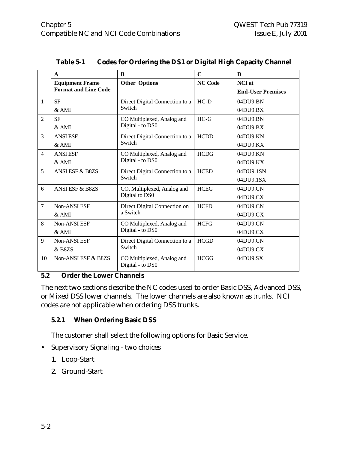|                | $\mathbf{A}$                | B                                              | C              | D                        |
|----------------|-----------------------------|------------------------------------------------|----------------|--------------------------|
|                | <b>Equipment Frame</b>      | <b>Other Options</b>                           | <b>NC Code</b> | <b>NCI</b> at            |
|                | <b>Format and Line Code</b> |                                                |                | <b>End-User Premises</b> |
| 1              | <b>SF</b>                   | Direct Digital Connection to a                 | $HC-D$         | 04DU9.BN                 |
|                | $&$ AMI                     | Switch                                         |                | 04DU9.BX                 |
| $\overline{2}$ | <b>SF</b>                   | CO Multiplexed, Analog and                     | $HC-G$         | 04DU9.BN                 |
|                | & AMI                       | Digital - to DS0                               |                | 04DU9.BX                 |
| 3              | <b>ANSI ESF</b>             | Direct Digital Connection to a                 | <b>HCDD</b>    | 04DU9.KN                 |
|                | &AMI                        | Switch                                         |                | 04DU9.KX                 |
| $\overline{4}$ | <b>ANSI ESF</b>             | CO Multiplexed, Analog and                     | <b>HCDG</b>    | 04DU9.KN                 |
|                | &AMI                        | Digital - to DS0                               |                | 04DU9.KX                 |
| 5              | <b>ANSI ESF &amp; B8ZS</b>  | Direct Digital Connection to a                 | <b>HCED</b>    | 04DU9.1SN                |
|                |                             | Switch                                         |                | 04DU9.1SX                |
| 6              | <b>ANSI ESF &amp; B8ZS</b>  | CO, Multiplexed, Analog and                    | <b>HCEG</b>    | 04DU9.CN                 |
|                |                             | Digital to DS0                                 |                | 04DU9.CX                 |
| $\overline{7}$ | <b>Non-ANSI ESF</b>         | Direct Digital Connection on                   | <b>HCFD</b>    | 04DU9.CN                 |
|                | $&$ AMI                     | a Switch                                       |                | 04DU9.CX                 |
| 8              | Non-ANSI ESF                | CO Multiplexed, Analog and                     | <b>HCFG</b>    | 04DU9.CN                 |
|                | $&$ AMI                     | Digital - to DS0                               |                | 04DU9.CX                 |
| 9              | Non-ANSI ESF                | Direct Digital Connection to a                 | <b>HCGD</b>    | 04DU9.CN                 |
|                | & B8ZS                      | Switch                                         |                | 04DU9.CX                 |
| 10             | Non-ANSI ESF & B8ZS         | CO Multiplexed, Analog and<br>Digital - to DS0 | <b>HCGG</b>    | 04DU9.SX                 |

#### **Table 5-1 Codes for Ordering the DS1 or Digital High Capacity Channel**

#### **5.2 Order the Lower Channels**

The next two sections describe the NC codes used to order Basic DSS, Advanced DSS, or Mixed DSS lower channels. The lower channels are also known as *trunks*. NCI codes are not applicable when ordering DSS trunks.

#### **5.2.1 When Ordering Basic DSS**

The customer shall select the following options for Basic Service.

- Supervisory Signaling two choices
	- 1. Loop-Start
	- 2. Ground-Start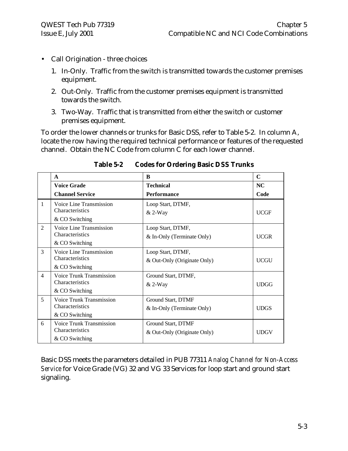- Call Origination three choices
	- 1. In-Only. Traffic from the switch is transmitted towards the customer premises equipment.
	- 2. Out-Only. Traffic from the customer premises equipment is transmitted towards the switch.
	- 3. Two-Way. Traffic that is transmitted from either the switch or customer premises equipment.

To order the lower channels or trunks for Basic DSS, refer to Table 5-2. In column A, locate the row having the required technical performance or features of the requested channel. Obtain the NC Code from column C for each lower channel.

|                | $\mathbf{A}$                                                         | B                                                 | $\mathbf C$ |
|----------------|----------------------------------------------------------------------|---------------------------------------------------|-------------|
|                | <b>Voice Grade</b>                                                   | <b>Technical</b>                                  | NC.         |
|                | <b>Channel Service</b>                                               | Performance                                       | Code        |
| $\mathbf{1}$   | Voice Line Transmission<br><b>Characteristics</b><br>& CO Switching  | Loop Start, DTMF,<br>$& 2-Way$                    | <b>UCGF</b> |
| $\overline{2}$ | Voice Line Transmission<br>Characteristics<br>& CO Switching         | Loop Start, DTMF,<br>& In-Only (Terminate Only)   | <b>UCGR</b> |
| 3              | Voice Line Transmission<br>Characteristics<br>& CO Switching         | Loop Start, DTMF,<br>& Out-Only (Originate Only)  | <b>UCGU</b> |
| $\overline{4}$ | Voice Trunk Transmission<br><b>Characteristics</b><br>& CO Switching | Ground Start, DTMF,<br>$& 2-Way$                  | <b>UDGG</b> |
| 5              | Voice Trunk Transmission<br>Characteristics<br>& CO Switching        | Ground Start, DTMF<br>& In-Only (Terminate Only)  | <b>UDGS</b> |
| 6              | <b>Voice Trunk Transmission</b><br>Characteristics<br>& CO Switching | Ground Start, DTMF<br>& Out-Only (Originate Only) | <b>UDGV</b> |

**Table 5-2 Codes for Ordering Basic DSS Trunks**

Basic DSS meets the parameters detailed in PUB 77311 *Analog Channel for Non-Access Service* for Voice Grade (VG) 32 and VG 33 Services for loop start and ground start signaling.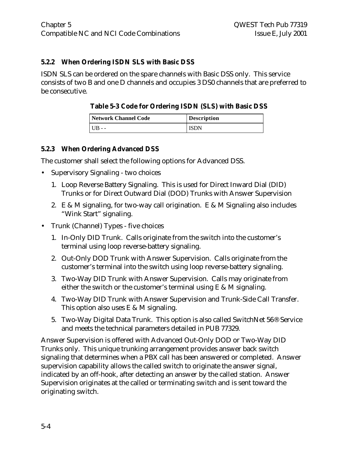#### **5.2.2 When Ordering ISDN SLS with Basic DSS**

ISDN SLS can be ordered on the spare channels with Basic DSS only. This service consists of two B and one D channels and occupies 3 DS0 channels that are preferred to be consecutive.

#### **Table 5-3 Code for Ordering ISDN (SLS) with Basic DSS**

| Network Channel Code | <b>Description</b> |
|----------------------|--------------------|
|                      | ISDN               |

#### **5.2.3 When Ordering Advanced DSS**

The customer shall select the following options for Advanced DSS.

- Supervisory Signaling two choices
	- 1. Loop Reverse Battery Signaling. This is used for Direct Inward Dial (DID) Trunks or for Direct Outward Dial (DOD) Trunks with Answer Supervision
	- 2. E & M signaling, for two-way call origination. E & M Signaling also includes "Wink Start" signaling.
- Trunk (Channel) Types five choices
	- 1. In-Only DID Trunk. Calls originate from the switch into the customer's terminal using loop reverse-battery signaling.
	- 2. Out-Only DOD Trunk with Answer Supervision. Calls originate from the customer's terminal into the switch using loop reverse-battery signaling.
	- 3. Two-Way DID Trunk with Answer Supervision. Calls may originate from either the switch or the customer's terminal using  $E \& M$  signaling.
	- 4. Two-Way DID Trunk with Answer Supervision and Trunk-Side Call Transfer. This option also uses E & M signaling.
	- 5. Two-Way Digital Data Trunk. This option is also called SwitchNet 56® Service and meets the technical parameters detailed in PUB 77329.

Answer Supervision is offered with Advanced Out-Only DOD or Two-Way DID Trunks only. This unique trunking arrangement provides answer back switch signaling that determines when a PBX call has been answered or completed. Answer supervision capability allows the called switch to originate the answer signal, indicated by an off-hook, after detecting an answer by the called station. Answer Supervision originates at the called or terminating switch and is sent toward the originating switch.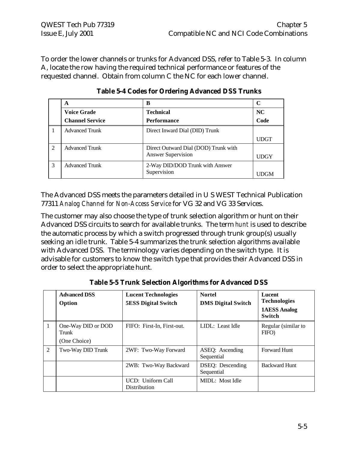To order the lower channels or trunks for Advanced DSS, refer to Table 5-3. In column A, locate the row having the required technical performance or features of the requested channel. Obtain from column C the NC for each lower channel.

|                | A                      | B                                    |             |
|----------------|------------------------|--------------------------------------|-------------|
|                | <b>Voice Grade</b>     | <b>Technical</b>                     | NC          |
|                | <b>Channel Service</b> | <b>Performance</b>                   | Code        |
|                | <b>Advanced Trunk</b>  | Direct Inward Dial (DID) Trunk       |             |
|                |                        |                                      | <b>UDGT</b> |
| $\mathfrak{D}$ | <b>Advanced Trunk</b>  | Direct Outward Dial (DOD) Trunk with |             |
|                |                        | <b>Answer Supervision</b>            | <b>UDGY</b> |
| 3              | <b>Advanced Trunk</b>  | 2-Way DID/DOD Trunk with Answer      |             |
|                |                        | Supervision                          |             |

**Table 5-4 Codes for Ordering Advanced DSS Trunks**

The Advanced DSS meets the parameters detailed in U S WEST Technical Publication 77311 *Analog Channel for Non-Access Service* for VG 32 and VG 33 Services.

The customer may also choose the type of trunk selection algorithm or hunt on their Advanced DSS circuits to search for available trunks. The term *hunt* is used to describe the automatic process by which a switch progressed through trunk group(s) usually seeking an idle trunk. Table 5-4 summarizes the trunk selection algorithms available with Advanced DSS. The terminology varies depending on the switch type. It is advisable for customers to know the switch type that provides their Advanced DSS in order to select the appropriate hunt.

|   | <b>Advanced DSS</b><br>Option               | <b>Lucent Technologies</b><br><b>5ESS Digital Switch</b> | <b>Nortel</b><br><b>DMS Digital Switch</b> | Lucent<br><b>Technologies</b><br><b>1AESS Analog</b><br><b>Switch</b> |
|---|---------------------------------------------|----------------------------------------------------------|--------------------------------------------|-----------------------------------------------------------------------|
|   | One-Way DID or DOD<br>Trunk<br>(One Choice) | FIFO: First-In, First-out.                               | LIDL: Least Idle                           | Regular (similar to<br>FIFO)                                          |
| 2 | Two-Way DID Trunk                           | 2WF: Two-Way Forward                                     | ASEQ: Ascending<br>Sequential              | <b>Forward Hunt</b>                                                   |
|   |                                             | 2WB: Two-Way Backward                                    | DSEQ: Descending<br>Sequential             | <b>Backward Hunt</b>                                                  |
|   |                                             | UCD: Uniform Call<br><b>Distribution</b>                 | MIDL: Most Idle                            |                                                                       |

**Table 5-5 Trunk Selection Algorithms for Advanced DSS**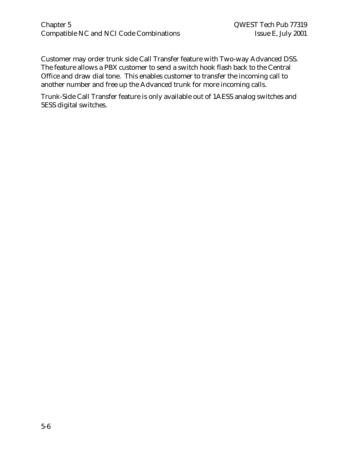#### Chapter 5 QWEST Tech Pub 77319 Compatible NC and NCI Code Combinations Issue E, July 2001

Customer may order trunk side Call Transfer feature with Two-way Advanced DSS. The feature allows a PBX customer to send a switch hook flash back to the Central Office and draw dial tone. This enables customer to transfer the incoming call to another number and free up the Advanced trunk for more incoming calls.

Trunk-Side Call Transfer feature is only available out of 1AESS analog switches and 5ESS digital switches.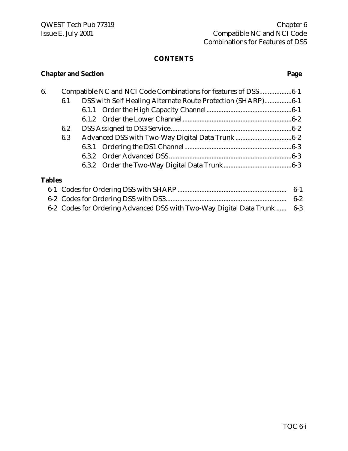# **Chapter and Section Page**

| 6.            |     | Compatible NC and NCI Code Combinations for features of DSS6-1 |  |
|---------------|-----|----------------------------------------------------------------|--|
|               | 6.1 | DSS with Self Healing Alternate Route Protection (SHARP)6-1    |  |
|               |     |                                                                |  |
|               |     |                                                                |  |
|               | 6.2 |                                                                |  |
|               | 6.3 |                                                                |  |
|               |     |                                                                |  |
|               |     |                                                                |  |
|               |     |                                                                |  |
| <b>Tables</b> |     |                                                                |  |
|               |     |                                                                |  |

| 6-2 Codes for Ordering Advanced DSS with Two-Way Digital Data Trunk  6-3 |  |
|--------------------------------------------------------------------------|--|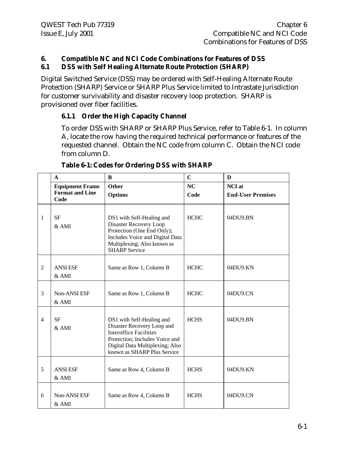#### **6. Compatible NC and NCI Code Combinations for Features of DSS 6.1 DSS with Self Healing Alternate Route Protection (SHARP)**

Digital Switched Service (DSS) may be ordered with Self-Healing Alternate Route Protection (SHARP) Service or SHARP Plus Service limited to Intrastate Jurisdiction for customer survivability and disaster recovery loop protection. SHARP is provisioned over fiber facilities.

#### **6.1.1 Order the High Capacity Channel**

To order DSS with SHARP or SHARP Plus Service, refer to Table 6-1. In column A, locate the row having the required technical performance or features of the requested channel. Obtain the NC code from column C. Obtain the NCI code from column D.

|                | $\mathbf{A}$                   | B                                                                                                                                                                                            | $\mathbf C$ | D                        |
|----------------|--------------------------------|----------------------------------------------------------------------------------------------------------------------------------------------------------------------------------------------|-------------|--------------------------|
|                | <b>Equipment Frame</b>         | <b>Other</b>                                                                                                                                                                                 | NC          | <b>NCI</b> at            |
|                | <b>Format and Line</b><br>Code | <b>Options</b>                                                                                                                                                                               | Code        | <b>End-User Premises</b> |
| 1              | <b>SF</b><br>& AMI             | DS1 with Self-Healing and<br>Disaster Recovery Loop<br>Protection (One End Only);<br>Includes Voice and Digital Data<br>Multiplexing; Also known as<br><b>SHARP Service</b>                  | <b>HCHC</b> | 04DU9.BN                 |
| 2              | <b>ANSI ESF</b><br>$&$ AMI     | Same as Row 1, Column B                                                                                                                                                                      | <b>HCHC</b> | 04DU9.KN                 |
| 3              | Non-ANSI ESF<br>$&$ AMI        | Same as Row 1, Column B                                                                                                                                                                      | <b>HCHC</b> | 04DU9.CN                 |
| $\overline{4}$ | <b>SF</b><br>&AMI              | DS1 with Self-Healing and<br>Disaster Recovery Loop and<br><b>Interoffice Facilities</b><br>Protection; Includes Voice and<br>Digital Data Multiplexing; Also<br>known as SHARP Plus Service | <b>HCHS</b> | 04DU9.BN                 |
| 5              | <b>ANSI ESF</b><br>& AMI       | Same as Row 4, Column B                                                                                                                                                                      | <b>HCHS</b> | 04DU9.KN                 |
| 6              | Non-ANSI ESF<br>& AMI          | Same as Row 4, Column B                                                                                                                                                                      | <b>HCHS</b> | 04DU9.CN                 |

#### **Table 6-1: Codes for Ordering DSS with SHARP**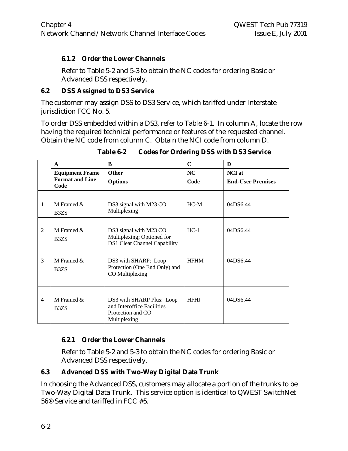#### **6.1.2 Order the Lower Channels**

Refer to Table 5-2 and 5-3 to obtain the NC codes for ordering Basic or Advanced DSS respectively.

#### **6.2 DSS Assigned to DS3 Service**

The customer may assign DSS to DS3 Service, which tariffed under Interstate jurisdiction FCC No. 5.

To order DSS embedded within a DS3, refer to Table 6-1. In column A, locate the row having the required technical performance or features of the requested channel. Obtain the NC code from column C. Obtain the NCI code from column D.

|                | $\mathbf{A}$                                     | B                                                                                            | $\mathbf C$ | D                        |
|----------------|--------------------------------------------------|----------------------------------------------------------------------------------------------|-------------|--------------------------|
|                | <b>Equipment Frame</b><br><b>Format and Line</b> | <b>Other</b>                                                                                 | NC          | <b>NCI</b> at            |
|                | Code                                             | <b>Options</b>                                                                               | Code        | <b>End-User Premises</b> |
| 1              | M Framed $\&$<br>B <sub>3</sub> Z <sub>S</sub>   | DS3 signal with M23 CO<br>Multiplexing                                                       | $HC-M$      | 04DS6.44                 |
| $\mathfrak{D}$ | M Framed $\&$<br>B <sub>3</sub> Z <sub>S</sub>   | DS3 signal with M23 CO<br>Multiplexing; Optioned for<br><b>DS1 Clear Channel Capability</b>  | $HC-1$      | 04DS6.44                 |
| 3              | M Framed $\&$<br>B <sub>3</sub> Z <sub>S</sub>   | DS3 with SHARP: Loop<br>Protection (One End Only) and<br>CO Multiplexing                     | <b>HFHM</b> | 04DS6.44                 |
| 4              | M Framed $\&$<br>B <sub>3</sub> Z <sub>S</sub>   | DS3 with SHARP Plus: Loop<br>and Interoffice Facilities<br>Protection and CO<br>Multiplexing | <b>HFHJ</b> | 04DS6.44                 |

**Table 6-2 Codes for Ordering DSS with DS3 Service**

# **6.2.1 Order the Lower Channels**

Refer to Table 5-2 and 5-3 to obtain the NC codes for ordering Basic or Advanced DSS respectively.

#### **6.3 Advanced DSS with Two-Way Digital Data Trunk**

In choosing the Advanced DSS, customers may allocate a portion of the trunks to be Two-Way Digital Data Trunk. This service option is identical to QWEST SwitchNet 56® Service and tariffed in FCC #5.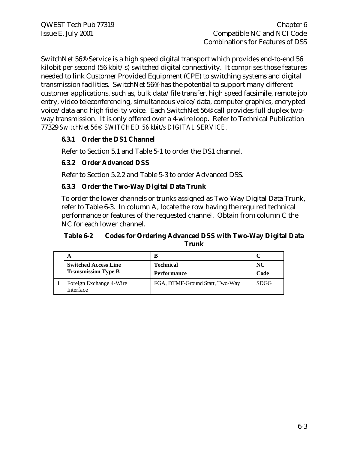SwitchNet 56® Service is a high speed digital transport which provides end-to-end 56 kilobit per second (56 kbit/s) switched digital connectivity. It comprises those features needed to link Customer Provided Equipment (CPE) to switching systems and digital transmission facilities. SwitchNet 56® has the potential to support many different customer applications, such as, bulk data/file transfer, high speed facsimile, remote job entry, video teleconferencing, simultaneous voice/data, computer graphics, encrypted voice/data and high fidelity voice. Each SwitchNet 56® call provides full duplex twoway transmission. It is only offered over a 4-wire loop. Refer to Technical Publication 77329 *SwitchNet 56® SWITCHED 56 kbit/s DIGITAL SERVICE.*

#### **6.3.1 Order the DS1 Channel**

Refer to Section 5.1 and Table 5-1 to order the DS1 channel.

#### **6.3.2 Order Advanced DSS**

Refer to Section 5.2.2 and Table 5-3 to order Advanced DSS.

#### **6.3.3 Order the Two-Way Digital Data Trunk**

To order the lower channels or trunks assigned as Two-Way Digital Data Trunk, refer to Table 6-3. In column A, locate the row having the required technical performance or features of the requested channel. Obtain from column C the NC for each lower channel.

#### **Table 6-2 Codes for Ordering Advanced DSS with Two-Way Digital Data Trunk**

| A                                    | B                               |             |
|--------------------------------------|---------------------------------|-------------|
| <b>Switched Access Line</b>          | <b>Technical</b>                | NC.         |
| <b>Transmission Type B</b>           | <b>Performance</b>              | Code        |
| Foreign Exchange 4-Wire<br>Interface | FGA, DTMF-Ground Start, Two-Way | <b>SDGG</b> |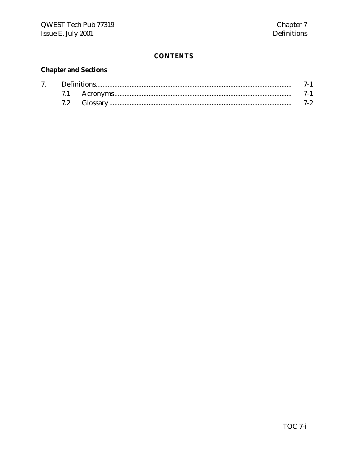# **Chapter and Sections**

| $7\degree$ |  |  |  |
|------------|--|--|--|
|            |  |  |  |
|            |  |  |  |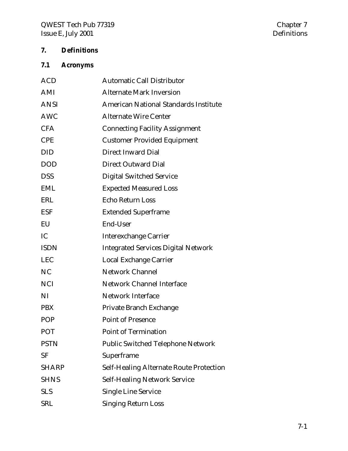# **7. Definitions**

# **7.1 Acronyms**

| <b>ACD</b>   | <b>Automatic Call Distributor</b>              |
|--------------|------------------------------------------------|
| AMI          | <b>Alternate Mark Inversion</b>                |
| <b>ANSI</b>  | <b>American National Standards Institute</b>   |
| <b>AWC</b>   | <b>Alternate Wire Center</b>                   |
| <b>CFA</b>   | <b>Connecting Facility Assignment</b>          |
| <b>CPE</b>   | <b>Customer Provided Equipment</b>             |
| <b>DID</b>   | <b>Direct Inward Dial</b>                      |
| <b>DOD</b>   | <b>Direct Outward Dial</b>                     |
| <b>DSS</b>   | <b>Digital Switched Service</b>                |
| <b>EML</b>   | <b>Expected Measured Loss</b>                  |
| <b>ERL</b>   | Echo Return Loss                               |
| <b>ESF</b>   | <b>Extended Superframe</b>                     |
| EU           | End-User                                       |
| IC           | <b>Interexchange Carrier</b>                   |
| <b>ISDN</b>  | <b>Integrated Services Digital Network</b>     |
| <b>LEC</b>   | Local Exchange Carrier                         |
| <b>NC</b>    | <b>Network Channel</b>                         |
| <b>NCI</b>   | <b>Network Channel Interface</b>               |
| NI           | <b>Network Interface</b>                       |
| <b>PBX</b>   | Private Branch Exchange                        |
| <b>POP</b>   | <b>Point of Presence</b>                       |
| <b>POT</b>   | <b>Point of Termination</b>                    |
| <b>PSTN</b>  | <b>Public Switched Telephone Network</b>       |
| <b>SF</b>    | Superframe                                     |
| <b>SHARP</b> | <b>Self-Healing Alternate Route Protection</b> |
| <b>SHNS</b>  | <b>Self-Healing Network Service</b>            |
| <b>SLS</b>   | <b>Single Line Service</b>                     |
| <b>SRL</b>   | <b>Singing Return Loss</b>                     |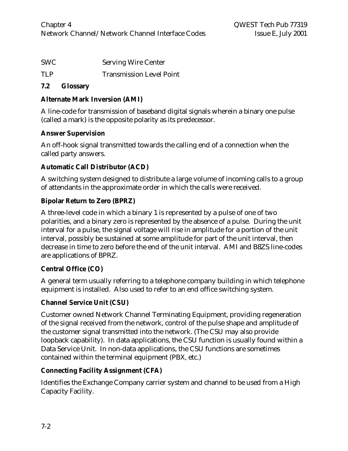| SWC | <b>Serving Wire Center</b> |
|-----|----------------------------|
|     |                            |

TLP Transmission Level Point

#### **7.2 Glossary**

### **Alternate Mark Inversion (AMI)**

A line-code for transmission of baseband digital signals wherein a binary one pulse (called a mark) is the opposite polarity as its predecessor.

#### **Answer Supervision**

An off-hook signal transmitted towards the calling end of a connection when the called party answers.

## **Automatic Call Distributor (ACD)**

A switching system designed to distribute a large volume of incoming calls to a group of attendants in the approximate order in which the calls were received.

## **Bipolar Return to Zero (BPRZ)**

A three-level code in which a binary 1 is represented by a pulse of one of two polarities, and a binary zero is represented by the absence of a pulse. During the unit interval for a pulse, the signal voltage will rise in amplitude for a portion of the unit interval, possibly be sustained at some amplitude for part of the unit interval, then decrease in time to zero before the end of the unit interval. AMI and B8ZS line-codes are applications of BPRZ.

# **Central Office (CO)**

A general term usually referring to a telephone company building in which telephone equipment is installed. Also used to refer to an end office switching system.

#### **Channel Service Unit (CSU)**

Customer owned Network Channel Terminating Equipment, providing regeneration of the signal received from the network, control of the pulse shape and amplitude of the customer signal transmitted into the network. (The CSU may also provide loopback capability). In data applications, the CSU function is usually found within a Data Service Unit. In non-data applications, the CSU functions are sometimes contained within the terminal equipment (PBX, etc.)

# **Connecting Facility Assignment (CFA)**

Identifies the Exchange Company carrier system and channel to be used from a High Capacity Facility.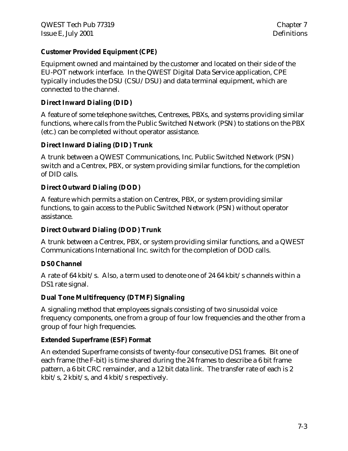#### **Customer Provided Equipment (CPE)**

Equipment owned and maintained by the customer and located on their side of the EU-POT network interface. In the QWEST Digital Data Service application, CPE typically includes the DSU (CSU/DSU) and data terminal equipment, which are connected to the channel.

#### **Direct Inward Dialing (DID)**

A feature of some telephone switches, Centrexes, PBXs, and systems providing similar functions, where calls from the Public Switched Network (PSN) to stations on the PBX (etc.) can be completed without operator assistance.

#### **Direct Inward Dialing (DID) Trunk**

A trunk between a QWEST Communications, Inc. Public Switched Network (PSN) switch and a Centrex, PBX, or system providing similar functions, for the completion of DID calls.

#### **Direct Outward Dialing (DOD)**

A feature which permits a station on Centrex, PBX, or system providing similar functions, to gain access to the Public Switched Network (PSN) without operator assistance.

#### **Direct Outward Dialing (DOD) Trunk**

A trunk between a Centrex, PBX, or system providing similar functions, and a QWEST Communications International Inc. switch for the completion of DOD calls.

#### **DS0 Channel**

A rate of 64 kbit/s. Also, a term used to denote one of 24 64 kbit/s channels within a DS1 rate signal.

#### **Dual Tone Multifrequency (DTMF) Signaling**

A signaling method that employees signals consisting of two sinusoidal voice frequency components, one from a group of four low frequencies and the other from a group of four high frequencies.

#### **Extended Superframe (ESF) Format**

An extended Superframe consists of twenty-four consecutive DS1 frames. Bit one of each frame (the F-bit) is time shared during the 24 frames to describe a 6 bit frame pattern, a 6 bit CRC remainder, and a 12 bit data link. The transfer rate of each is 2 kbit/s, 2 kbit/s, and 4 kbit/s respectively.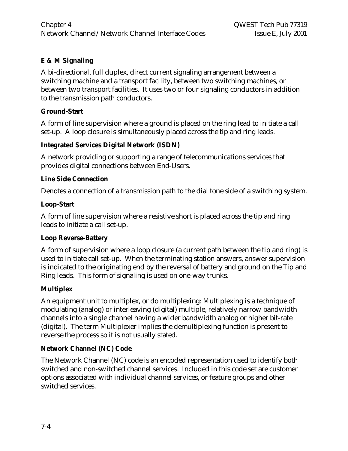#### **E & M Signaling**

A bi-directional, full duplex, direct current signaling arrangement between a switching machine and a transport facility, between two switching machines, or between two transport facilities. It uses two or four signaling conductors in addition to the transmission path conductors.

#### **Ground-Start**

A form of line supervision where a ground is placed on the ring lead to initiate a call set-up. A loop closure is simultaneously placed across the tip and ring leads.

#### **Integrated Services Digital Network (ISDN)**

A network providing or supporting a range of telecommunications services that provides digital connections between End-Users.

#### **Line Side Connection**

Denotes a connection of a transmission path to the dial tone side of a switching system.

#### **Loop-Start**

A form of line supervision where a resistive short is placed across the tip and ring leads to initiate a call set-up.

#### **Loop Reverse-Battery**

A form of supervision where a loop closure (a current path between the tip and ring) is used to initiate call set-up. When the terminating station answers, answer supervision is indicated to the originating end by the reversal of battery and ground on the Tip and Ring leads. This form of signaling is used on one-way trunks.

#### **Multiplex**

An equipment unit to multiplex, or do multiplexing: Multiplexing is a technique of modulating (analog) or interleaving (digital) multiple, relatively narrow bandwidth channels into a single channel having a wider bandwidth analog or higher bit-rate (digital). The term Multiplexer implies the demultiplexing function is present to reverse the process so it is not usually stated.

#### **Network Channel (NC) Code**

The Network Channel (NC) code is an encoded representation used to identify both switched and non-switched channel services. Included in this code set are customer options associated with individual channel services, or feature groups and other switched services.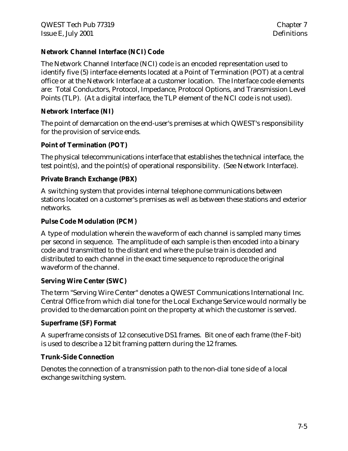#### **Network Channel Interface (NCI) Code**

The Network Channel Interface (NCI) code is an encoded representation used to identify five (5) interface elements located at a Point of Termination (POT) at a central office or at the Network Interface at a customer location. The Interface code elements are: Total Conductors, Protocol, Impedance, Protocol Options, and Transmission Level Points (TLP). (At a digital interface, the TLP element of the NCI code is not used).

#### **Network Interface (NI)**

The point of demarcation on the end-user's premises at which QWEST's responsibility for the provision of service ends.

#### **Point of Termination (POT)**

The physical telecommunications interface that establishes the technical interface, the test point(s), and the point(s) of operational responsibility. (See Network Interface).

#### **Private Branch Exchange (PBX)**

A switching system that provides internal telephone communications between stations located on a customer's premises as well as between these stations and exterior networks.

#### **Pulse Code Modulation (PCM)**

A type of modulation wherein the waveform of each channel is sampled many times per second in sequence. The amplitude of each sample is then encoded into a binary code and transmitted to the distant end where the pulse train is decoded and distributed to each channel in the exact time sequence to reproduce the original waveform of the channel.

#### **Serving Wire Center (SWC)**

The term "Serving Wire Center" denotes a QWEST Communications International Inc. Central Office from which dial tone for the Local Exchange Service would normally be provided to the demarcation point on the property at which the customer is served.

#### **Superframe (SF) Format**

A superframe consists of 12 consecutive DS1 frames. Bit one of each frame (the F-bit) is used to describe a 12 bit framing pattern during the 12 frames.

#### **Trunk-Side Connection**

Denotes the connection of a transmission path to the non-dial tone side of a local exchange switching system.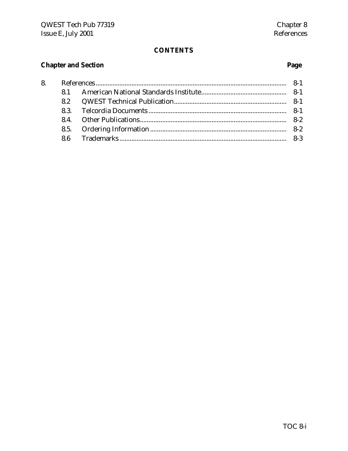# **Chapter and Section**

# Page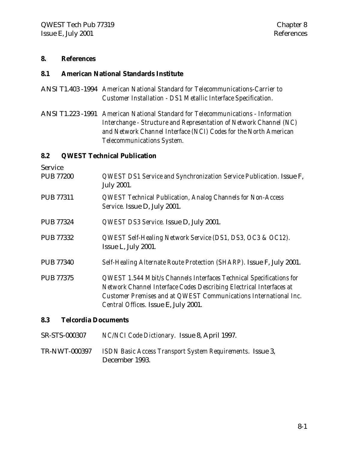#### **8. References**

#### **8.1 American National Standards Institute**

- ANSI T1.403 -1994 *American National Standard for Telecommunications-Carrier to Customer Installation - DS1 Metallic Interface Specification.*
- ANSI T1.223 -1991 *American National Standard for Telecommunications Information Interchange - Structure and Representation of Network Channel (NC) and Network Channel Interface (NCI) Codes for the North American Telecommunications System.*

#### **8.2 QWEST Technical Publication**

Service PUB 77200 *QWEST DS1 Service and Synchronization Service Publication.* Issue F, July 2001*.* PUB 77311 *QWEST Technical Publication, Analog Channels for Non-Access Service.* Issue D, July 2001. PUB 77324 *QWEST DS3 Service.* Issue D, July 2001. PUB 77332 *QWEST Self-Healing Network Service (DS1, DS3, OC3 & OC12).* Issue L, July 2001*.* PUB 77340 *Self-Healing Alternate Route Protection (SHARP).* Issue F, July 2001. PUB 77375 *QWEST 1.544 Mbit/s Channels Interfaces Technical Specifications for Network Channel Interface Codes Describing Electrical Interfaces at Customer Premises and at QWEST Communications International Inc. Central Offices.* Issue E, July 2001.

#### **8.3 Telcordia Documents**

- SR-STS-000307 *NC/NCI Code Dictionary.* Issue 8, April 1997.
- TR-NWT-000397 *ISDN Basic Access Transport System Requirements*. Issue 3, December 1993.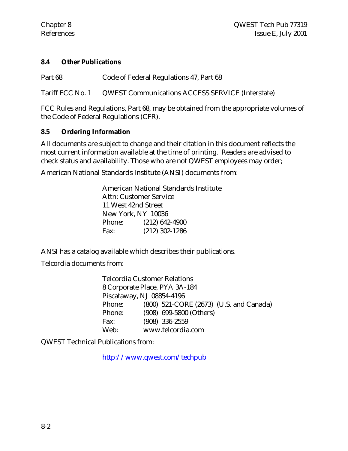#### **8.4 Other Publications**

Part 68 Code of Federal Regulations 47, Part 68

Tariff FCC No. 1 QWEST Communications ACCESS SERVICE (Interstate)

FCC Rules and Regulations, Part 68, may be obtained from the appropriate volumes of the Code of Federal Regulations (CFR).

#### **8.5 Ordering Information**

All documents are subject to change and their citation in this document reflects the most current information available at the time of printing. Readers are advised to check status and availability. Those who are not QWEST employees may order;

American National Standards Institute (ANSI) documents from:

|                        | American National Standards Institute |  |  |
|------------------------|---------------------------------------|--|--|
| Attn: Customer Service |                                       |  |  |
|                        | 11 West 42nd Street                   |  |  |
|                        | New York, NY 10036                    |  |  |
| Phone:                 | $(212)$ 642-4900                      |  |  |
| Fax:                   | $(212)$ 302-1286                      |  |  |

ANSI has a catalog available which describes their publications.

Telcordia documents from:

| <b>Telcordia Customer Relations</b> |                               |                         |                                         |  |  |  |
|-------------------------------------|-------------------------------|-------------------------|-----------------------------------------|--|--|--|
|                                     | 8 Corporate Place, PYA 3A-184 |                         |                                         |  |  |  |
|                                     | Piscataway, NJ 08854-4196     |                         |                                         |  |  |  |
| Phone:                              |                               |                         | (800) 521-CORE (2673) (U.S. and Canada) |  |  |  |
| Phone:                              |                               | (908) 699-5800 (Others) |                                         |  |  |  |
| Fax:                                |                               | $(908)$ 336-2559        |                                         |  |  |  |
| Web:                                |                               | www.telcordia.com       |                                         |  |  |  |

QWEST Technical Publications from:

http://www.qwest.com/techpub